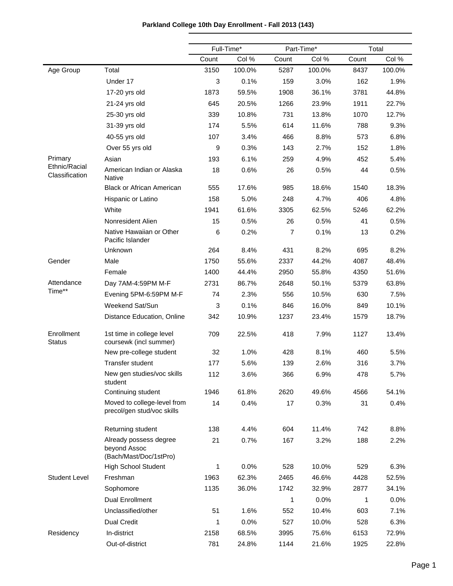|                                 |                                                                  | Full-Time* |        |                | Part-Time* |       | Total  |
|---------------------------------|------------------------------------------------------------------|------------|--------|----------------|------------|-------|--------|
|                                 |                                                                  | Count      | Col %  | Count          | Col %      | Count | Col %  |
| Age Group                       | Total                                                            | 3150       | 100.0% | 5287           | 100.0%     | 8437  | 100.0% |
|                                 | Under 17                                                         | 3          | 0.1%   | 159            | 3.0%       | 162   | 1.9%   |
|                                 | 17-20 yrs old                                                    | 1873       | 59.5%  | 1908           | 36.1%      | 3781  | 44.8%  |
|                                 | 21-24 yrs old                                                    | 645        | 20.5%  | 1266           | 23.9%      | 1911  | 22.7%  |
|                                 | 25-30 yrs old                                                    | 339        | 10.8%  | 731            | 13.8%      | 1070  | 12.7%  |
|                                 | 31-39 yrs old                                                    | 174        | 5.5%   | 614            | 11.6%      | 788   | 9.3%   |
|                                 | 40-55 yrs old                                                    | 107        | 3.4%   | 466            | 8.8%       | 573   | 6.8%   |
|                                 | Over 55 yrs old                                                  | 9          | 0.3%   | 143            | 2.7%       | 152   | 1.8%   |
| Primary                         | Asian                                                            | 193        | 6.1%   | 259            | 4.9%       | 452   | 5.4%   |
| Ethnic/Racial<br>Classification | American Indian or Alaska<br><b>Native</b>                       | 18         | 0.6%   | 26             | 0.5%       | 44    | 0.5%   |
|                                 | <b>Black or African American</b>                                 | 555        | 17.6%  | 985            | 18.6%      | 1540  | 18.3%  |
|                                 | Hispanic or Latino                                               | 158        | 5.0%   | 248            | 4.7%       | 406   | 4.8%   |
|                                 | White                                                            | 1941       | 61.6%  | 3305           | 62.5%      | 5246  | 62.2%  |
|                                 | Nonresident Alien                                                | 15         | 0.5%   | 26             | 0.5%       | 41    | 0.5%   |
|                                 | Native Hawaiian or Other<br>Pacific Islander                     | 6          | 0.2%   | $\overline{7}$ | 0.1%       | 13    | 0.2%   |
|                                 | Unknown                                                          | 264        | 8.4%   | 431            | 8.2%       | 695   | 8.2%   |
| Gender                          | Male                                                             | 1750       | 55.6%  | 2337           | 44.2%      | 4087  | 48.4%  |
|                                 | Female                                                           | 1400       | 44.4%  | 2950           | 55.8%      | 4350  | 51.6%  |
| Attendance                      | Day 7AM-4:59PM M-F                                               | 2731       | 86.7%  | 2648           | 50.1%      | 5379  | 63.8%  |
| Time**                          | Evening 5PM-6:59PM M-F                                           | 74         | 2.3%   | 556            | 10.5%      | 630   | 7.5%   |
|                                 | Weekend Sat/Sun                                                  | 3          | 0.1%   | 846            | 16.0%      | 849   | 10.1%  |
|                                 | Distance Education, Online                                       | 342        | 10.9%  | 1237           | 23.4%      | 1579  | 18.7%  |
| Enrollment<br><b>Status</b>     | 1st time in college level<br>coursewk (incl summer)              | 709        | 22.5%  | 418            | 7.9%       | 1127  | 13.4%  |
|                                 | New pre-college student                                          | 32         | 1.0%   | 428            | 8.1%       | 460   | 5.5%   |
|                                 | <b>Transfer student</b>                                          | 177        | 5.6%   | 139            | 2.6%       | 316   | 3.7%   |
|                                 | New gen studies/voc skills<br>student                            | 112        | 3.6%   | 366            | 6.9%       | 478   | 5.7%   |
|                                 | Continuing student                                               | 1946       | 61.8%  | 2620           | 49.6%      | 4566  | 54.1%  |
|                                 | Moved to college-level from<br>precol/gen stud/voc skills        | 14         | 0.4%   | 17             | 0.3%       | 31    | 0.4%   |
|                                 | Returning student                                                | 138        | 4.4%   | 604            | 11.4%      | 742   | 8.8%   |
|                                 | Already possess degree<br>beyond Assoc<br>(Bach/Mast/Doc/1stPro) | 21         | 0.7%   | 167            | 3.2%       | 188   | 2.2%   |
|                                 | <b>High School Student</b>                                       | 1          | 0.0%   | 528            | 10.0%      | 529   | 6.3%   |
| <b>Student Level</b>            | Freshman                                                         | 1963       | 62.3%  | 2465           | 46.6%      | 4428  | 52.5%  |
|                                 | Sophomore                                                        | 1135       | 36.0%  | 1742           | 32.9%      | 2877  | 34.1%  |
|                                 | Dual Enrollment                                                  |            |        | 1              | 0.0%       | 1     | 0.0%   |
|                                 | Unclassified/other                                               | 51         | 1.6%   | 552            | 10.4%      | 603   | 7.1%   |
|                                 | <b>Dual Credit</b>                                               | 1          | 0.0%   | 527            | 10.0%      | 528   | 6.3%   |
| Residency                       | In-district                                                      | 2158       | 68.5%  | 3995           | 75.6%      | 6153  | 72.9%  |
|                                 | Out-of-district                                                  | 781        | 24.8%  | 1144           | 21.6%      | 1925  | 22.8%  |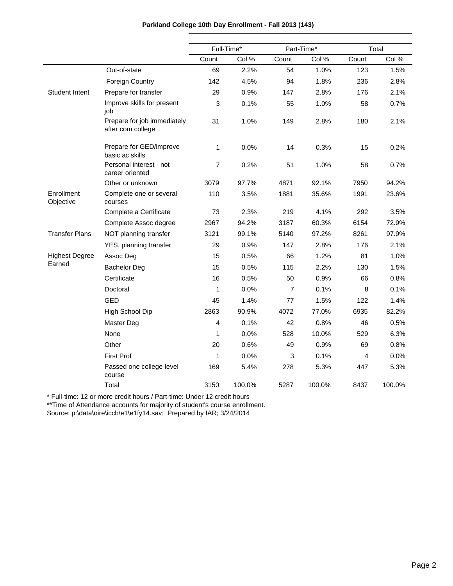|                         |                                                  | Full-Time*     |        | Part-Time*     |        |       | Total  |
|-------------------------|--------------------------------------------------|----------------|--------|----------------|--------|-------|--------|
|                         |                                                  | Count          | Col %  | Count          | Col %  | Count | Col %  |
|                         | Out-of-state                                     | 69             | 2.2%   | 54             | 1.0%   | 123   | 1.5%   |
|                         | <b>Foreign Country</b>                           | 142            | 4.5%   | 94             | 1.8%   | 236   | 2.8%   |
| <b>Student Intent</b>   | Prepare for transfer                             | 29             | 0.9%   | 147            | 2.8%   | 176   | 2.1%   |
|                         | Improve skills for present<br>job                | 3              | 0.1%   | 55             | 1.0%   | 58    | 0.7%   |
|                         | Prepare for job immediately<br>after com college | 31             | 1.0%   | 149            | 2.8%   | 180   | 2.1%   |
|                         | Prepare for GED/improve<br>basic ac skills       | 1              | 0.0%   | 14             | 0.3%   | 15    | 0.2%   |
|                         | Personal interest - not<br>career oriented       | $\overline{7}$ | 0.2%   | 51             | 1.0%   | 58    | 0.7%   |
|                         | Other or unknown                                 | 3079           | 97.7%  | 4871           | 92.1%  | 7950  | 94.2%  |
| Enrollment<br>Objective | Complete one or several<br>courses               | 110            | 3.5%   | 1881           | 35.6%  | 1991  | 23.6%  |
|                         | Complete a Certificate                           | 73             | 2.3%   | 219            | 4.1%   | 292   | 3.5%   |
|                         | Complete Assoc degree                            | 2967           | 94.2%  | 3187           | 60.3%  | 6154  | 72.9%  |
| <b>Transfer Plans</b>   | NOT planning transfer                            | 3121           | 99.1%  | 5140           | 97.2%  | 8261  | 97.9%  |
|                         | YES, planning transfer                           | 29             | 0.9%   | 147            | 2.8%   | 176   | 2.1%   |
| <b>Highest Degree</b>   | Assoc Deg                                        | 15             | 0.5%   | 66             | 1.2%   | 81    | 1.0%   |
| Earned                  | <b>Bachelor Deg</b>                              | 15             | 0.5%   | 115            | 2.2%   | 130   | 1.5%   |
|                         | Certificate                                      | 16             | 0.5%   | 50             | 0.9%   | 66    | 0.8%   |
|                         | Doctoral                                         | 1              | 0.0%   | $\overline{7}$ | 0.1%   | 8     | 0.1%   |
|                         | <b>GED</b>                                       | 45             | 1.4%   | 77             | 1.5%   | 122   | 1.4%   |
|                         | High School Dip                                  | 2863           | 90.9%  | 4072           | 77.0%  | 6935  | 82.2%  |
|                         | Master Deg                                       | 4              | 0.1%   | 42             | 0.8%   | 46    | 0.5%   |
|                         | None                                             | 1              | 0.0%   | 528            | 10.0%  | 529   | 6.3%   |
|                         | Other                                            | 20             | 0.6%   | 49             | 0.9%   | 69    | 0.8%   |
|                         | <b>First Prof</b>                                | 1              | 0.0%   | 3              | 0.1%   | 4     | 0.0%   |
|                         | Passed one college-level<br>course               | 169            | 5.4%   | 278            | 5.3%   | 447   | 5.3%   |
|                         | Total                                            | 3150           | 100.0% | 5287           | 100.0% | 8437  | 100.0% |

\*\*Time of Attendance accounts for majority of student's course enrollment.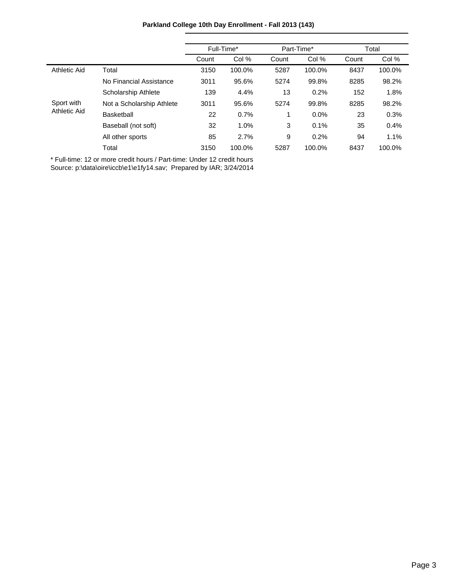|                     |                           | Full-Time* |        |       | Part-Time* | Total |        |
|---------------------|---------------------------|------------|--------|-------|------------|-------|--------|
|                     |                           | Count      | Col %  | Count | Col %      | Count | Col %  |
| <b>Athletic Aid</b> | Total                     | 3150       | 100.0% | 5287  | 100.0%     | 8437  | 100.0% |
|                     | No Financial Assistance   | 3011       | 95.6%  | 5274  | 99.8%      | 8285  | 98.2%  |
|                     | Scholarship Athlete       | 139        | 4.4%   | 13    | 0.2%       | 152   | 1.8%   |
| Sport with          | Not a Scholarship Athlete | 3011       | 95.6%  | 5274  | 99.8%      | 8285  | 98.2%  |
| <b>Athletic Aid</b> | <b>Basketball</b>         | 22         | 0.7%   |       | 0.0%       | 23    | 0.3%   |
|                     | Baseball (not soft)       | 32         | 1.0%   | 3     | 0.1%       | 35    | 0.4%   |
|                     | All other sports          | 85         | 2.7%   | 9     | 0.2%       | 94    | 1.1%   |
|                     | Total                     | 3150       | 100.0% | 5287  | 100.0%     | 8437  | 100.0% |

## **Parkland College 10th Day Enrollment - Fall 2013 (143)**

\* Full-time: 12 or more credit hours / Part-time: Under 12 credit hours Source: p:\data\oire\iccb\e1\e1fy14.sav; Prepared by IAR; 3/24/2014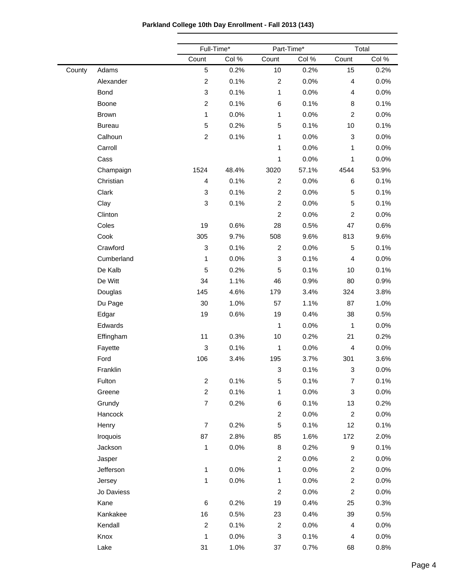|        |               | Full-Time*       |       | Part-Time*                |       |                           | Total |  |
|--------|---------------|------------------|-------|---------------------------|-------|---------------------------|-------|--|
|        |               | Count            | Col % | Count                     | Col % | Count                     | Col % |  |
| County | Adams         | 5                | 0.2%  | 10                        | 0.2%  | 15                        | 0.2%  |  |
|        | Alexander     | $\overline{c}$   | 0.1%  | $\boldsymbol{2}$          | 0.0%  | $\overline{\mathbf{4}}$   | 0.0%  |  |
|        | Bond          | 3                | 0.1%  | 1                         | 0.0%  | $\overline{4}$            | 0.0%  |  |
|        | Boone         | $\overline{c}$   | 0.1%  | 6                         | 0.1%  | 8                         | 0.1%  |  |
|        | <b>Brown</b>  | 1                | 0.0%  | 1                         | 0.0%  | $\overline{c}$            | 0.0%  |  |
|        | <b>Bureau</b> | 5                | 0.2%  | 5                         | 0.1%  | 10                        | 0.1%  |  |
|        | Calhoun       | $\overline{c}$   | 0.1%  | 1                         | 0.0%  | 3                         | 0.0%  |  |
|        | Carroll       |                  |       | 1                         | 0.0%  | 1                         | 0.0%  |  |
|        | Cass          |                  |       | 1                         | 0.0%  | 1                         | 0.0%  |  |
|        | Champaign     | 1524             | 48.4% | 3020                      | 57.1% | 4544                      | 53.9% |  |
|        | Christian     | 4                | 0.1%  | $\overline{c}$            | 0.0%  | $\,6$                     | 0.1%  |  |
|        | Clark         | 3                | 0.1%  | $\overline{c}$            | 0.0%  | $\sqrt{5}$                | 0.1%  |  |
|        | Clay          | 3                | 0.1%  | $\overline{c}$            | 0.0%  | $\sqrt{5}$                | 0.1%  |  |
|        | Clinton       |                  |       | $\overline{c}$            | 0.0%  | $\boldsymbol{2}$          | 0.0%  |  |
|        | Coles         | 19               | 0.6%  | 28                        | 0.5%  | 47                        | 0.6%  |  |
|        | Cook          | 305              | 9.7%  | 508                       | 9.6%  | 813                       | 9.6%  |  |
|        | Crawford      | 3                | 0.1%  | $\overline{c}$            | 0.0%  | $\mathbf 5$               | 0.1%  |  |
|        | Cumberland    | 1                | 0.0%  | $\sqrt{3}$                | 0.1%  | $\overline{\mathbf{4}}$   | 0.0%  |  |
|        | De Kalb       | 5                | 0.2%  | 5                         | 0.1%  | 10                        | 0.1%  |  |
|        | De Witt       | 34               | 1.1%  | 46                        | 0.9%  | 80                        | 0.9%  |  |
|        | Douglas       | 145              | 4.6%  | 179                       | 3.4%  | 324                       | 3.8%  |  |
|        | Du Page       | 30               | 1.0%  | 57                        | 1.1%  | 87                        | 1.0%  |  |
|        | Edgar         | 19               | 0.6%  | 19                        | 0.4%  | 38                        | 0.5%  |  |
|        | Edwards       |                  |       | 1                         | 0.0%  | 1                         | 0.0%  |  |
|        | Effingham     | 11               | 0.3%  | 10                        | 0.2%  | 21                        | 0.2%  |  |
|        | Fayette       | 3                | 0.1%  | 1                         | 0.0%  | $\overline{\mathbf{r}}$   | 0.0%  |  |
|        | Ford          | 106              | 3.4%  | 195                       | 3.7%  | 301                       | 3.6%  |  |
|        | Franklin      |                  |       | 3                         | 0.1%  | $\ensuremath{\mathsf{3}}$ | 0.0%  |  |
|        | Fulton        | $\overline{c}$   | 0.1%  | 5                         | 0.1%  | $\overline{7}$            | 0.1%  |  |
|        | Greene        | $\overline{c}$   | 0.1%  | 1                         | 0.0%  | $\ensuremath{\mathsf{3}}$ | 0.0%  |  |
|        | Grundy        | $\boldsymbol{7}$ | 0.2%  | $\,6\,$                   | 0.1%  | 13                        | 0.2%  |  |
|        | Hancock       |                  |       | $\overline{c}$            | 0.0%  | $\boldsymbol{2}$          | 0.0%  |  |
|        | Henry         | $\overline{7}$   | 0.2%  | $\sqrt{5}$                | 0.1%  | 12                        | 0.1%  |  |
|        | Iroquois      | 87               | 2.8%  | 85                        | 1.6%  | 172                       | 2.0%  |  |
|        | Jackson       | 1                | 0.0%  | 8                         | 0.2%  | 9                         | 0.1%  |  |
|        | Jasper        |                  |       | $\overline{c}$            | 0.0%  | $\boldsymbol{2}$          | 0.0%  |  |
|        | Jefferson     | $\mathbf{1}$     | 0.0%  | 1                         | 0.0%  | $\overline{c}$            | 0.0%  |  |
|        | Jersey        | 1                | 0.0%  | 1                         | 0.0%  | $\overline{c}$            | 0.0%  |  |
|        | Jo Daviess    |                  |       | $\overline{c}$            | 0.0%  | $\overline{c}$            | 0.0%  |  |
|        | Kane          | $\,6$            | 0.2%  | 19                        | 0.4%  | 25                        | 0.3%  |  |
|        | Kankakee      | 16               | 0.5%  | 23                        | 0.4%  | 39                        | 0.5%  |  |
|        | Kendall       | $\overline{c}$   | 0.1%  | $\overline{c}$            | 0.0%  | $\overline{\mathbf{4}}$   | 0.0%  |  |
|        | Knox          | 1                | 0.0%  | $\ensuremath{\mathsf{3}}$ | 0.1%  | $\overline{\mathbf{4}}$   | 0.0%  |  |
|        | Lake          | 31               | 1.0%  | 37                        | 0.7%  | 68                        | 0.8%  |  |

**Parkland College 10th Day Enrollment - Fall 2013 (143)**

 $\overline{\phantom{0}}$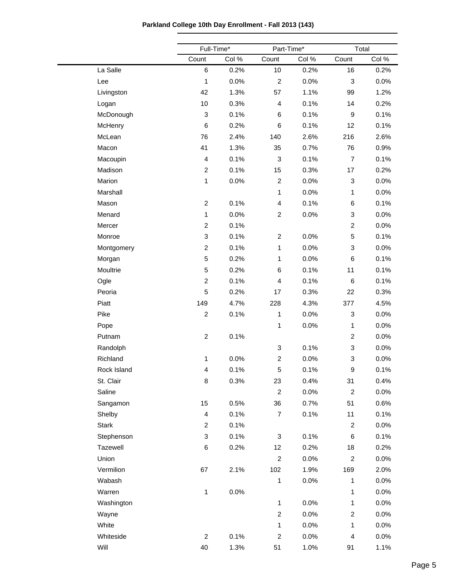|  |  |  | Parkland College 10th Day Enrollment - Fall 2013 (143) |  |  |
|--|--|--|--------------------------------------------------------|--|--|
|--|--|--|--------------------------------------------------------|--|--|

|             |                         | Full-Time* | Part-Time*     |       | Total                     |       |  |  |
|-------------|-------------------------|------------|----------------|-------|---------------------------|-------|--|--|
|             | Count                   | Col %      | Count          | Col % | Count                     | Col % |  |  |
| La Salle    | 6                       | 0.2%       | 10             | 0.2%  | 16                        | 0.2%  |  |  |
| Lee         | $\mathbf{1}$            | 0.0%       | $\overline{c}$ | 0.0%  | 3                         | 0.0%  |  |  |
| Livingston  | 42                      | 1.3%       | 57             | 1.1%  | 99                        | 1.2%  |  |  |
| Logan       | 10                      | 0.3%       | 4              | 0.1%  | 14                        | 0.2%  |  |  |
| McDonough   | 3                       | 0.1%       | 6              | 0.1%  | $\boldsymbol{9}$          | 0.1%  |  |  |
| McHenry     | $\,6$                   | 0.2%       | 6              | 0.1%  | 12                        | 0.1%  |  |  |
| McLean      | 76                      | 2.4%       | 140            | 2.6%  | 216                       | 2.6%  |  |  |
| Macon       | 41                      | 1.3%       | 35             | 0.7%  | 76                        | 0.9%  |  |  |
| Macoupin    | 4                       | 0.1%       | 3              | 0.1%  | $\overline{7}$            | 0.1%  |  |  |
| Madison     | $\boldsymbol{2}$        | 0.1%       | 15             | 0.3%  | 17                        | 0.2%  |  |  |
| Marion      | $\mathbf{1}$            | 0.0%       | $\overline{c}$ | 0.0%  | 3                         | 0.0%  |  |  |
| Marshall    |                         |            | $\mathbf{1}$   | 0.0%  | 1                         | 0.0%  |  |  |
| Mason       | $\boldsymbol{2}$        | 0.1%       | 4              | 0.1%  | 6                         | 0.1%  |  |  |
| Menard      | $\mathbf{1}$            | 0.0%       | $\overline{c}$ | 0.0%  | 3                         | 0.0%  |  |  |
| Mercer      | $\boldsymbol{2}$        | 0.1%       |                |       | $\overline{c}$            | 0.0%  |  |  |
| Monroe      | 3                       | 0.1%       | $\overline{c}$ | 0.0%  | 5                         | 0.1%  |  |  |
| Montgomery  | $\overline{c}$          | 0.1%       | $\mathbf{1}$   | 0.0%  | 3                         | 0.0%  |  |  |
| Morgan      | 5                       | 0.2%       | 1              | 0.0%  | 6                         | 0.1%  |  |  |
| Moultrie    | 5                       | 0.2%       | 6              | 0.1%  | 11                        | 0.1%  |  |  |
| Ogle        | $\overline{c}$          | 0.1%       | 4              | 0.1%  | 6                         | 0.1%  |  |  |
| Peoria      | 5                       | 0.2%       | 17             | 0.3%  | 22                        | 0.3%  |  |  |
| Piatt       | 149                     | 4.7%       | 228            | 4.3%  | 377                       | 4.5%  |  |  |
| Pike        | $\overline{c}$          | 0.1%       | $\mathbf{1}$   | 0.0%  | 3                         | 0.0%  |  |  |
| Pope        |                         |            | $\mathbf{1}$   | 0.0%  | 1                         | 0.0%  |  |  |
| Putnam      | $\boldsymbol{2}$        | 0.1%       |                |       | $\overline{c}$            | 0.0%  |  |  |
| Randolph    |                         |            | 3              | 0.1%  | 3                         | 0.0%  |  |  |
| Richland    | $\mathbf{1}$            | 0.0%       | $\overline{c}$ | 0.0%  | $\ensuremath{\mathsf{3}}$ | 0.0%  |  |  |
| Rock Island | 4                       | 0.1%       | 5              | 0.1%  | 9                         | 0.1%  |  |  |
| St. Clair   | 8                       | 0.3%       | 23             | 0.4%  | 31                        | 0.4%  |  |  |
| Saline      |                         |            | $\overline{2}$ | 0.0%  | $\overline{2}$            | 0.0%  |  |  |
| Sangamon    | 15                      | 0.5%       | 36             | 0.7%  | 51                        | 0.6%  |  |  |
| Shelby      | $\overline{\mathbf{4}}$ | 0.1%       | $\overline{7}$ | 0.1%  | 11                        | 0.1%  |  |  |
| Stark       | $\overline{c}$          | 0.1%       |                |       | $\overline{c}$            | 0.0%  |  |  |
| Stephenson  | 3                       | 0.1%       | 3              | 0.1%  | 6                         | 0.1%  |  |  |
| Tazewell    | $\,6$                   | 0.2%       | 12             | 0.2%  | 18                        | 0.2%  |  |  |
| Union       |                         |            | $\overline{2}$ | 0.0%  | $\overline{c}$            | 0.0%  |  |  |
| Vermilion   | 67                      | 2.1%       | 102            | 1.9%  | 169                       | 2.0%  |  |  |
| Wabash      |                         |            | $\mathbf{1}$   | 0.0%  | $\mathbf{1}$              | 0.0%  |  |  |
| Warren      | $\mathbf{1}$            | 0.0%       |                |       | 1                         | 0.0%  |  |  |
| Washington  |                         |            | 1              | 0.0%  | 1                         | 0.0%  |  |  |
| Wayne       |                         |            | $\overline{c}$ | 0.0%  | $\overline{c}$            | 0.0%  |  |  |
| White       |                         |            | $\mathbf{1}$   | 0.0%  | $\mathbf{1}$              | 0.0%  |  |  |
| Whiteside   | $\boldsymbol{2}$        | 0.1%       | $\overline{c}$ | 0.0%  | 4                         | 0.0%  |  |  |
| Will        | $40\,$                  | 1.3%       | 51             | 1.0%  | 91                        | 1.1%  |  |  |
|             |                         |            |                |       |                           |       |  |  |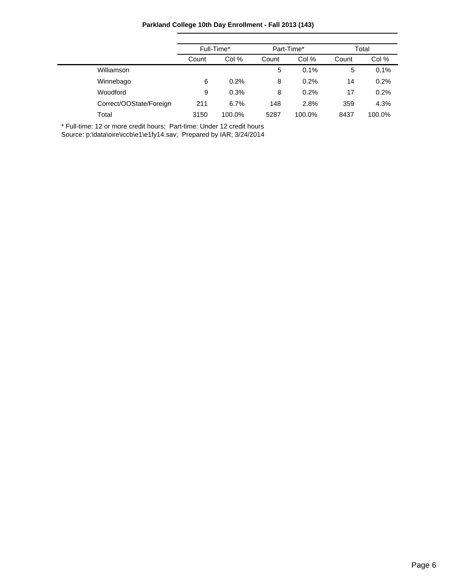**Parkland College 10th Day Enrollment - Fall 2013 (143)**

|                         | Full-Time* |        |       | Part-Time* | Total |        |
|-------------------------|------------|--------|-------|------------|-------|--------|
|                         | Count      | Col %  | Count | Col %      | Count | Col %  |
| Williamson              |            |        | 5     | 0.1%       | 5     | 0.1%   |
| Winnebago               | 6          | 0.2%   | 8     | 0.2%       | 14    | 0.2%   |
| Woodford                | 9          | 0.3%   | 8     | 0.2%       | 17    | 0.2%   |
| Correct/OOState/Foreign | 211        | 6.7%   | 148   | 2.8%       | 359   | 4.3%   |
| Total                   | 3150       | 100.0% | 5287  | 100.0%     | 8437  | 100.0% |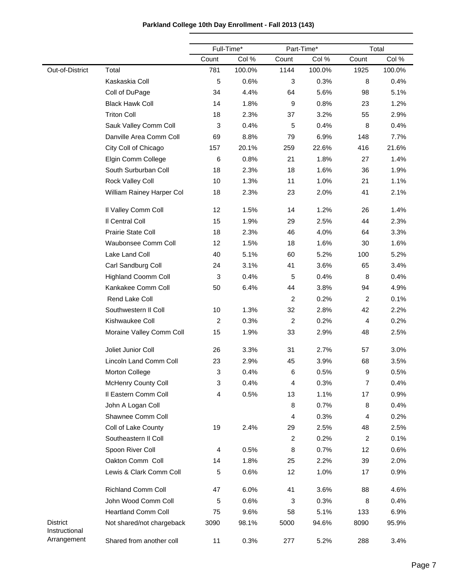|  | Parkland College 10th Day Enrollment - Fall 2013 (143) |  |
|--|--------------------------------------------------------|--|
|--|--------------------------------------------------------|--|

|                                  |                            |                         | Full-Time* | Part-Time*     |        |                | Total  |
|----------------------------------|----------------------------|-------------------------|------------|----------------|--------|----------------|--------|
|                                  |                            | Count                   | Col %      | Count          | Col %  | Count          | Col %  |
| Out-of-District                  | Total                      | 781                     | 100.0%     | 1144           | 100.0% | 1925           | 100.0% |
|                                  | Kaskaskia Coll             | 5                       | 0.6%       | 3              | 0.3%   | 8              | 0.4%   |
|                                  | Coll of DuPage             | 34                      | 4.4%       | 64             | 5.6%   | 98             | 5.1%   |
|                                  | <b>Black Hawk Coll</b>     | 14                      | 1.8%       | 9              | 0.8%   | 23             | 1.2%   |
|                                  | <b>Triton Coll</b>         | 18                      | 2.3%       | 37             | 3.2%   | 55             | 2.9%   |
|                                  | Sauk Valley Comm Coll      | 3                       | 0.4%       | 5              | 0.4%   | 8              | 0.4%   |
|                                  | Danville Area Comm Coll    | 69                      | 8.8%       | 79             | 6.9%   | 148            | 7.7%   |
|                                  | City Coll of Chicago       | 157                     | 20.1%      | 259            | 22.6%  | 416            | 21.6%  |
|                                  | Elgin Comm College         | 6                       | 0.8%       | 21             | 1.8%   | 27             | 1.4%   |
|                                  | South Surburban Coll       | 18                      | 2.3%       | 18             | 1.6%   | 36             | 1.9%   |
|                                  | Rock Valley Coll           | 10                      | 1.3%       | 11             | 1.0%   | 21             | 1.1%   |
|                                  | William Rainey Harper Col  | 18                      | 2.3%       | 23             | 2.0%   | 41             | 2.1%   |
|                                  | Il Valley Comm Coll        | 12                      | 1.5%       | 14             | 1.2%   | 26             | 1.4%   |
|                                  | Il Central Coll            | 15                      | 1.9%       | 29             | 2.5%   | 44             | 2.3%   |
|                                  | Prairie State Coll         | 18                      | 2.3%       | 46             | 4.0%   | 64             | 3.3%   |
|                                  | Waubonsee Comm Coll        | 12                      | 1.5%       | 18             | 1.6%   | 30             | 1.6%   |
|                                  | Lake Land Coll             | 40                      | 5.1%       | 60             | 5.2%   | 100            | 5.2%   |
|                                  | Carl Sandburg Coll         | 24                      | 3.1%       | 41             | 3.6%   | 65             | 3.4%   |
|                                  | <b>Highland Coomm Coll</b> | 3                       | 0.4%       | 5              | 0.4%   | 8              | 0.4%   |
|                                  | Kankakee Comm Coll         | 50                      | 6.4%       | 44             | 3.8%   | 94             | 4.9%   |
|                                  | Rend Lake Coll             |                         |            | $\overline{c}$ | 0.2%   | $\overline{c}$ | 0.1%   |
|                                  | Southwestern II Coll       | 10                      | 1.3%       | 32             | 2.8%   | 42             | 2.2%   |
|                                  | Kishwaukee Coll            | $\overline{\mathbf{c}}$ | 0.3%       | $\overline{c}$ | 0.2%   | 4              | 0.2%   |
|                                  | Moraine Valley Comm Coll   | 15                      | 1.9%       | 33             | 2.9%   | 48             | 2.5%   |
|                                  | Joliet Junior Coll         | 26                      | 3.3%       | 31             | 2.7%   | 57             | 3.0%   |
|                                  | Lincoln Land Comm Coll     | 23                      | 2.9%       | 45             | 3.9%   | 68             | 3.5%   |
|                                  | Morton College             | 3                       | 0.4%       | 6              | 0.5%   | 9              | 0.5%   |
|                                  | <b>McHenry County Coll</b> | 3                       | 0.4%       | 4              | 0.3%   | 7              | 0.4%   |
|                                  | Il Eastern Comm Coll       | 4                       | 0.5%       | 13             | 1.1%   | 17             | 0.9%   |
|                                  | John A Logan Coll          |                         |            | 8              | 0.7%   | 8              | 0.4%   |
|                                  | Shawnee Comm Coll          |                         |            | 4              | 0.3%   | 4              | 0.2%   |
|                                  | Coll of Lake County        | 19                      | 2.4%       | 29             | 2.5%   | 48             | 2.5%   |
|                                  | Southeastern II Coll       |                         |            | $\overline{c}$ | 0.2%   | 2              | 0.1%   |
|                                  | Spoon River Coll           | 4                       | 0.5%       | 8              | 0.7%   | 12             | 0.6%   |
|                                  | Oakton Comm Coll           | 14                      | 1.8%       | 25             | 2.2%   | 39             | 2.0%   |
|                                  | Lewis & Clark Comm Coll    | 5                       | 0.6%       | 12             | 1.0%   | 17             | 0.9%   |
|                                  | <b>Richland Comm Coll</b>  | 47                      | 6.0%       | 41             | 3.6%   | 88             | 4.6%   |
|                                  | John Wood Comm Coll        | 5                       | 0.6%       | 3              | 0.3%   | 8              | 0.4%   |
|                                  | <b>Heartland Comm Coll</b> | 75                      | 9.6%       | 58             | 5.1%   | 133            | 6.9%   |
| <b>District</b><br>Instructional | Not shared/not chargeback  | 3090                    | 98.1%      | 5000           | 94.6%  | 8090           | 95.9%  |
| Arrangement                      | Shared from another coll   | 11                      | 0.3%       | 277            | 5.2%   | 288            | 3.4%   |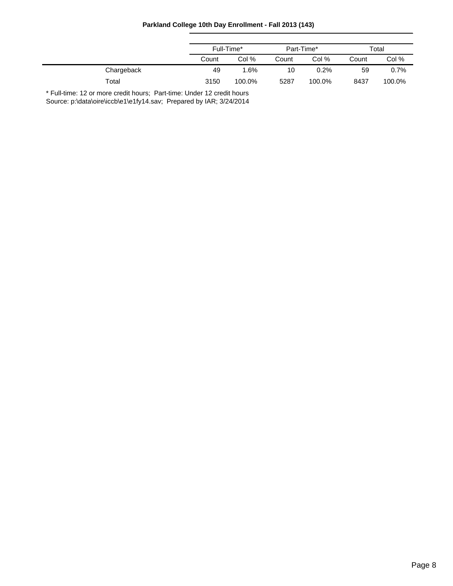|  |  | Parkland College 10th Day Enrollment - Fall 2013 (143) |  |
|--|--|--------------------------------------------------------|--|
|--|--|--------------------------------------------------------|--|

|            | Full-Time* |        | Part-Time* |        | Total |        |
|------------|------------|--------|------------|--------|-------|--------|
|            | Count      | Col %  | Count      | Col %  | Count | Col %  |
| Chargeback | 49         | 1.6%   | 10         | 0.2%   | 59    | 0.7%   |
| Total      | 3150       | 100.0% | 5287       | 100.0% | 8437  | 100.0% |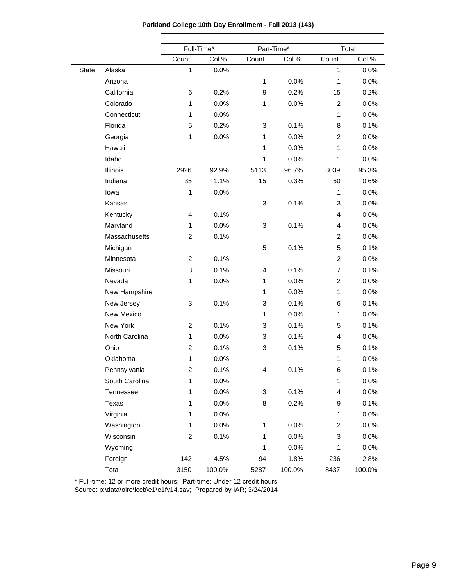**Parkland College 10th Day Enrollment - Fall 2013 (143)**

|              |                | Full-Time*     |        |       | Part-Time* |                           | Total  |  |  |
|--------------|----------------|----------------|--------|-------|------------|---------------------------|--------|--|--|
|              |                | Count          | Col %  | Count | Col %      | Count                     | Col %  |  |  |
| <b>State</b> | Alaska         | $\mathbf{1}$   | 0.0%   |       |            | 1                         | 0.0%   |  |  |
|              | Arizona        |                |        | 1     | 0.0%       | $\mathbf{1}$              | 0.0%   |  |  |
|              | California     | 6              | 0.2%   | 9     | 0.2%       | 15                        | 0.2%   |  |  |
|              | Colorado       | 1              | 0.0%   | 1     | 0.0%       | $\overline{2}$            | 0.0%   |  |  |
|              | Connecticut    | 1              | 0.0%   |       |            | 1                         | 0.0%   |  |  |
|              | Florida        | 5              | 0.2%   | 3     | 0.1%       | 8                         | 0.1%   |  |  |
|              | Georgia        | 1              | 0.0%   | 1     | 0.0%       | $\overline{c}$            | 0.0%   |  |  |
|              | Hawaii         |                |        | 1     | 0.0%       | 1                         | 0.0%   |  |  |
|              | Idaho          |                |        | 1     | 0.0%       | 1                         | 0.0%   |  |  |
|              | Illinois       | 2926           | 92.9%  | 5113  | 96.7%      | 8039                      | 95.3%  |  |  |
|              | Indiana        | 35             | 1.1%   | 15    | 0.3%       | 50                        | 0.6%   |  |  |
|              | lowa           | 1              | 0.0%   |       |            | 1                         | 0.0%   |  |  |
|              | Kansas         |                |        | 3     | 0.1%       | $\ensuremath{\mathsf{3}}$ | 0.0%   |  |  |
|              | Kentucky       | $\overline{4}$ | 0.1%   |       |            | 4                         | 0.0%   |  |  |
|              | Maryland       | 1              | 0.0%   | 3     | 0.1%       | 4                         | 0.0%   |  |  |
|              | Massachusetts  | $\overline{c}$ | 0.1%   |       |            | $\overline{c}$            | 0.0%   |  |  |
|              | Michigan       |                |        | 5     | 0.1%       | 5                         | 0.1%   |  |  |
|              | Minnesota      | 2              | 0.1%   |       |            | $\overline{c}$            | 0.0%   |  |  |
|              | Missouri       | 3              | 0.1%   | 4     | 0.1%       | $\overline{7}$            | 0.1%   |  |  |
|              | Nevada         | 1              | 0.0%   | 1     | 0.0%       | $\overline{c}$            | 0.0%   |  |  |
|              | New Hampshire  |                |        | 1     | 0.0%       | $\mathbf{1}$              | 0.0%   |  |  |
|              | New Jersey     | 3              | 0.1%   | 3     | 0.1%       | 6                         | 0.1%   |  |  |
|              | New Mexico     |                |        | 1     | 0.0%       | 1                         | 0.0%   |  |  |
|              | New York       | $\overline{c}$ | 0.1%   | 3     | 0.1%       | 5                         | 0.1%   |  |  |
|              | North Carolina | 1              | 0.0%   | 3     | 0.1%       | 4                         | 0.0%   |  |  |
|              | Ohio           | $\overline{c}$ | 0.1%   | 3     | 0.1%       | 5                         | 0.1%   |  |  |
|              | Oklahoma       | 1              | 0.0%   |       |            | 1                         | 0.0%   |  |  |
|              | Pennsylvania   | $\overline{c}$ | 0.1%   | 4     | 0.1%       | 6                         | 0.1%   |  |  |
|              | South Carolina | $\mathbf{1}$   | 0.0%   |       |            | $\mathbf{1}$              | 0.0%   |  |  |
|              | Tennessee      | $\mathbf{1}$   | 0.0%   | 3     | 0.1%       | 4                         | 0.0%   |  |  |
|              | Texas          | $\mathbf{1}$   | 0.0%   | 8     | 0.2%       | 9                         | 0.1%   |  |  |
|              | Virginia       | 1              | 0.0%   |       |            | 1                         | 0.0%   |  |  |
|              | Washington     | 1              | 0.0%   | 1     | 0.0%       | $\overline{c}$            | 0.0%   |  |  |
|              | Wisconsin      | $\overline{c}$ | 0.1%   | 1     | 0.0%       | 3                         | 0.0%   |  |  |
|              | Wyoming        |                |        | 1     | 0.0%       | 1                         | 0.0%   |  |  |
|              | Foreign        | 142            | 4.5%   | 94    | 1.8%       | 236                       | 2.8%   |  |  |
|              | Total          | 3150           | 100.0% | 5287  | 100.0%     | 8437                      | 100.0% |  |  |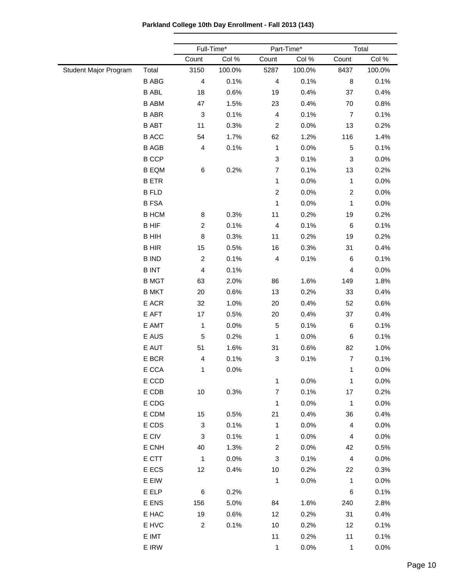**Parkland College 10th Day Enrollment - Fall 2013 (143)**

|                       |              | Full-Time*     |        |                           | Part-Time* |                         | Total  |  |
|-----------------------|--------------|----------------|--------|---------------------------|------------|-------------------------|--------|--|
|                       |              | Count          | Col %  | Count                     | Col %      | Count                   | Col %  |  |
| Student Major Program | Total        | 3150           | 100.0% | 5287                      | 100.0%     | 8437                    | 100.0% |  |
|                       | <b>B ABG</b> | 4              | 0.1%   | $\overline{\mathbf{4}}$   | 0.1%       | 8                       | 0.1%   |  |
|                       | <b>B ABL</b> | 18             | 0.6%   | 19                        | 0.4%       | 37                      | 0.4%   |  |
|                       | <b>B ABM</b> | 47             | 1.5%   | 23                        | 0.4%       | 70                      | 0.8%   |  |
|                       | <b>B ABR</b> | 3              | 0.1%   | $\overline{4}$            | 0.1%       | $\overline{7}$          | 0.1%   |  |
|                       | <b>B ABT</b> | 11             | 0.3%   | $\overline{c}$            | 0.0%       | 13                      | 0.2%   |  |
|                       | <b>B ACC</b> | 54             | 1.7%   | 62                        | 1.2%       | 116                     | 1.4%   |  |
|                       | <b>B AGB</b> | 4              | 0.1%   | $\mathbf{1}$              | 0.0%       | $\,$ 5 $\,$             | 0.1%   |  |
|                       | <b>B CCP</b> |                |        | $\ensuremath{\mathsf{3}}$ | 0.1%       | 3                       | 0.0%   |  |
|                       | <b>B EQM</b> | 6              | 0.2%   | $\overline{7}$            | 0.1%       | 13                      | 0.2%   |  |
|                       | <b>BETR</b>  |                |        | 1                         | 0.0%       | $\mathbf{1}$            | 0.0%   |  |
|                       | <b>B FLD</b> |                |        | $\overline{c}$            | 0.0%       | $\boldsymbol{2}$        | 0.0%   |  |
|                       | <b>BFSA</b>  |                |        | 1                         | 0.0%       | 1                       | 0.0%   |  |
|                       | <b>B HCM</b> | 8              | 0.3%   | 11                        | 0.2%       | 19                      | 0.2%   |  |
|                       | <b>BHIF</b>  | $\overline{c}$ | 0.1%   | $\overline{4}$            | 0.1%       | 6                       | 0.1%   |  |
|                       | <b>B HIH</b> | 8              | 0.3%   | 11                        | 0.2%       | 19                      | 0.2%   |  |
|                       | <b>BHIR</b>  | 15             | 0.5%   | 16                        | 0.3%       | 31                      | 0.4%   |  |
|                       | <b>B IND</b> | $\overline{c}$ | 0.1%   | $\overline{\mathbf{4}}$   | 0.1%       | 6                       | 0.1%   |  |
|                       | <b>BINT</b>  | 4              | 0.1%   |                           |            | 4                       | 0.0%   |  |
|                       | <b>B MGT</b> | 63             | 2.0%   | 86                        | 1.6%       | 149                     | 1.8%   |  |
|                       | <b>B MKT</b> | 20             | 0.6%   | 13                        | 0.2%       | 33                      | 0.4%   |  |
|                       | E ACR        | 32             | 1.0%   | 20                        | 0.4%       | 52                      | 0.6%   |  |
|                       | E AFT        | 17             | 0.5%   | 20                        | 0.4%       | 37                      | 0.4%   |  |
|                       | E AMT        | $\mathbf{1}$   | 0.0%   | $\,$ 5 $\,$               | 0.1%       | 6                       | 0.1%   |  |
|                       | E AUS        | 5              | 0.2%   | 1                         | 0.0%       | 6                       | 0.1%   |  |
|                       | E AUT        | 51             | 1.6%   | 31                        | 0.6%       | 82                      | 1.0%   |  |
|                       | E BCR        | 4              | 0.1%   | 3                         | 0.1%       | $\overline{7}$          | 0.1%   |  |
|                       | E CCA        | 1              | 0.0%   |                           |            | $\mathbf{1}$            | 0.0%   |  |
|                       | E CCD        |                |        | 1                         | 0.0%       | $\mathbf{1}$            | 0.0%   |  |
|                       | E CDB        | 10             | 0.3%   | $\overline{7}$            | 0.1%       | 17                      | 0.2%   |  |
|                       | E CDG        |                |        | 1                         | 0.0%       | $\mathbf{1}$            | 0.0%   |  |
|                       | E CDM        | 15             | 0.5%   | 21                        | 0.4%       | 36                      | 0.4%   |  |
|                       | E CDS        | 3              | 0.1%   | 1                         | 0.0%       | 4                       | 0.0%   |  |
|                       | E CIV        | 3              | 0.1%   | $\mathbf{1}$              | 0.0%       | $\overline{\mathbf{4}}$ | 0.0%   |  |
|                       | E CNH        | 40             | 1.3%   | $\overline{c}$            | 0.0%       | 42                      | 0.5%   |  |
|                       | E CTT        | $\mathbf{1}$   | 0.0%   | 3                         | 0.1%       | $\overline{\mathbf{4}}$ | 0.0%   |  |
|                       | E ECS        | 12             | 0.4%   | 10                        | 0.2%       | 22                      | 0.3%   |  |
|                       | E EIW        |                |        | $\mathbf{1}$              | 0.0%       | $\mathbf{1}$            | 0.0%   |  |
|                       | E ELP        | 6              | 0.2%   |                           |            | 6                       | 0.1%   |  |
|                       | E ENS        | 156            | 5.0%   | 84                        | 1.6%       | 240                     | 2.8%   |  |
|                       | E HAC        | 19             | 0.6%   | 12                        | 0.2%       | 31                      | 0.4%   |  |
|                       | E HVC        | $\overline{c}$ | 0.1%   | 10                        | 0.2%       | 12                      | 0.1%   |  |
|                       | E IMT        |                |        | 11                        | 0.2%       | 11                      | 0.1%   |  |
|                       | E IRW        |                |        | $\mathbf{1}$              | 0.0%       | $\mathbf{1}$            | 0.0%   |  |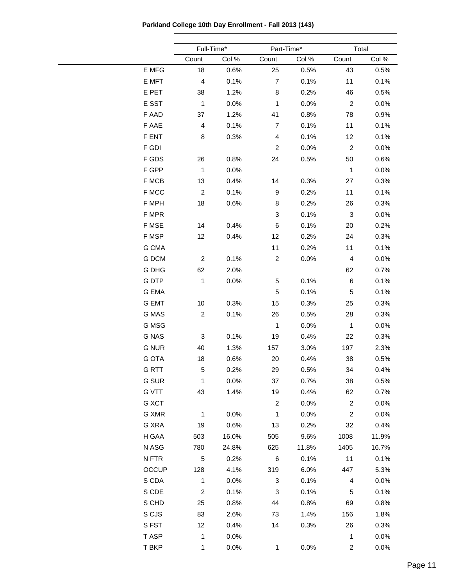**Parkland College 10th Day Enrollment - Fall 2013 (143)**

|              | Full-Time*       |       | Part-Time*     |       | Total          |         |  |
|--------------|------------------|-------|----------------|-------|----------------|---------|--|
|              | Count            | Col % | Count          | Col % | Count          | Col %   |  |
| E MFG        | 18               | 0.6%  | 25             | 0.5%  | 43             | 0.5%    |  |
| E MFT        | 4                | 0.1%  | $\overline{7}$ | 0.1%  | 11             | 0.1%    |  |
| E PET        | 38               | 1.2%  | 8              | 0.2%  | 46             | 0.5%    |  |
| E SST        | $\mathbf{1}$     | 0.0%  | $\mathbf{1}$   | 0.0%  | $\overline{c}$ | 0.0%    |  |
| F AAD        | 37               | 1.2%  | 41             | 0.8%  | 78             | 0.9%    |  |
| F AAE        | $\overline{4}$   | 0.1%  | 7              | 0.1%  | 11             | 0.1%    |  |
| F ENT        | 8                | 0.3%  | 4              | 0.1%  | 12             | 0.1%    |  |
| F GDI        |                  |       | $\overline{c}$ | 0.0%  | $\overline{c}$ | 0.0%    |  |
| F GDS        | 26               | 0.8%  | 24             | 0.5%  | 50             | 0.6%    |  |
| F GPP        | $\mathbf{1}$     | 0.0%  |                |       | $\mathbf{1}$   | 0.0%    |  |
| F MCB        | 13               | 0.4%  | 14             | 0.3%  | 27             | 0.3%    |  |
| F MCC        | $\boldsymbol{2}$ | 0.1%  | 9              | 0.2%  | 11             | 0.1%    |  |
| F MPH        | 18               | 0.6%  | 8              | 0.2%  | 26             | 0.3%    |  |
| F MPR        |                  |       | 3              | 0.1%  | 3              | 0.0%    |  |
| F MSE        | 14               | 0.4%  | 6              | 0.1%  | 20             | 0.2%    |  |
| F MSP        | 12               | 0.4%  | 12             | 0.2%  | 24             | 0.3%    |  |
| G CMA        |                  |       | 11             | 0.2%  | 11             | 0.1%    |  |
| <b>G DCM</b> | $\overline{c}$   | 0.1%  | $\overline{c}$ | 0.0%  | $\overline{4}$ | 0.0%    |  |
| G DHG        | 62               | 2.0%  |                |       | 62             | 0.7%    |  |
| G DTP        | $\mathbf{1}$     | 0.0%  | 5              | 0.1%  | 6              | 0.1%    |  |
| G EMA        |                  |       | $\,$ 5 $\,$    | 0.1%  | 5              | 0.1%    |  |
| <b>G EMT</b> | 10               | 0.3%  | 15             | 0.3%  | 25             | 0.3%    |  |
| G MAS        | $\overline{c}$   | 0.1%  | 26             | 0.5%  | 28             | 0.3%    |  |
| G MSG        |                  |       | $\mathbf{1}$   | 0.0%  | $\mathbf{1}$   | 0.0%    |  |
| <b>G NAS</b> | 3                | 0.1%  | 19             | 0.4%  | 22             | 0.3%    |  |
| <b>G NUR</b> | 40               | 1.3%  | 157            | 3.0%  | 197            | 2.3%    |  |
| <b>G OTA</b> | 18               | 0.6%  | 20             | 0.4%  | 38             | 0.5%    |  |
| <b>GRTT</b>  | 5                | 0.2%  | 29             | 0.5%  | 34             | 0.4%    |  |
| <b>G SUR</b> | $\mathbf{1}$     | 0.0%  | 37             | 0.7%  | 38             | 0.5%    |  |
| <b>G VTT</b> | 43               | 1.4%  | 19             | 0.4%  | 62             | 0.7%    |  |
| G XCT        |                  |       | $\overline{c}$ | 0.0%  | $\overline{a}$ | 0.0%    |  |
| G XMR        | $\mathbf{1}$     | 0.0%  | $\mathbf{1}$   | 0.0%  | $\overline{2}$ | $0.0\%$ |  |
| G XRA        | 19               | 0.6%  | 13             | 0.2%  | 32             | 0.4%    |  |
| H GAA        | 503              | 16.0% | 505            | 9.6%  | 1008           | 11.9%   |  |
| N ASG        | 780              | 24.8% | 625            | 11.8% | 1405           | 16.7%   |  |
| N FTR        | 5                | 0.2%  | $\,6$          | 0.1%  | 11             | 0.1%    |  |
| <b>OCCUP</b> | 128              | 4.1%  | 319            | 6.0%  | 447            | 5.3%    |  |
| S CDA        | $\mathbf{1}$     | 0.0%  | 3              | 0.1%  | 4              | 0.0%    |  |
| S CDE        | $\overline{c}$   | 0.1%  | 3              | 0.1%  | 5              | 0.1%    |  |
| S CHD        | 25               | 0.8%  | 44             | 0.8%  | 69             | 0.8%    |  |
| S CJS        | 83               | 2.6%  | 73             | 1.4%  | 156            | 1.8%    |  |
| S FST        | 12               | 0.4%  | 14             | 0.3%  | 26             | 0.3%    |  |
| T ASP        | $\mathbf{1}$     | 0.0%  |                |       | $\mathbf{1}$   | 0.0%    |  |
| T BKP        | 1                | 0.0%  | $\mathbf{1}$   | 0.0%  | $\overline{a}$ | 0.0%    |  |
|              |                  |       |                |       |                |         |  |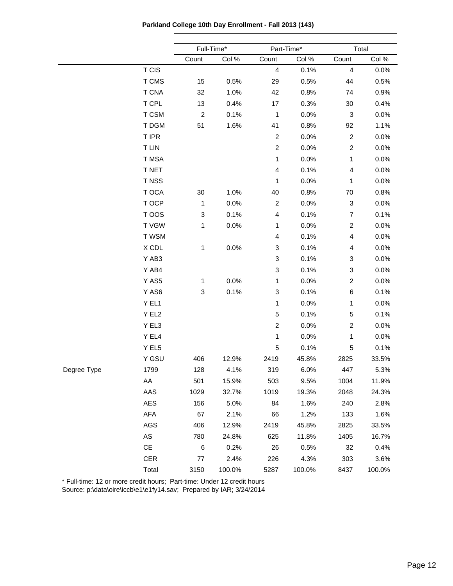**Parkland College 10th Day Enrollment - Fall 2013 (143)**

|             |               |                           | Full-Time* |                | Part-Time* |                | Total  |  |
|-------------|---------------|---------------------------|------------|----------------|------------|----------------|--------|--|
|             |               | Count                     | Col %      | Count          | Col %      | Count          | Col %  |  |
|             | T CIS         |                           |            | $\overline{4}$ | 0.1%       | 4              | 0.0%   |  |
|             | T CMS         | 15                        | 0.5%       | 29             | 0.5%       | 44             | 0.5%   |  |
|             | <b>T CNA</b>  | 32                        | 1.0%       | 42             | 0.8%       | 74             | 0.9%   |  |
|             | T CPL         | 13                        | 0.4%       | 17             | 0.3%       | 30             | 0.4%   |  |
|             | T CSM         | $\overline{c}$            | 0.1%       | $\mathbf{1}$   | 0.0%       | 3              | 0.0%   |  |
|             | T DGM         | 51                        | 1.6%       | 41             | 0.8%       | 92             | 1.1%   |  |
|             | T IPR         |                           |            | $\overline{c}$ | 0.0%       | $\overline{c}$ | 0.0%   |  |
|             | <b>T LIN</b>  |                           |            | $\overline{c}$ | 0.0%       | $\overline{c}$ | 0.0%   |  |
|             | T MSA         |                           |            | 1              | 0.0%       | $\mathbf{1}$   | 0.0%   |  |
|             | T NET         |                           |            | 4              | 0.1%       | 4              | 0.0%   |  |
|             | T NSS         |                           |            | 1              | 0.0%       | 1              | 0.0%   |  |
|             | T OCA         | 30                        | 1.0%       | 40             | 0.8%       | 70             | 0.8%   |  |
|             | T OCP         | $\mathbf{1}$              | 0.0%       | $\overline{c}$ | 0.0%       | 3              | 0.0%   |  |
|             | T OOS         | $\ensuremath{\mathsf{3}}$ | 0.1%       | 4              | 0.1%       | $\overline{7}$ | 0.1%   |  |
|             | T VGW         | $\mathbf{1}$              | 0.0%       | 1              | 0.0%       | $\overline{c}$ | 0.0%   |  |
|             | T WSM         |                           |            | 4              | 0.1%       | 4              | 0.0%   |  |
|             | X CDL         | 1                         | 0.0%       | 3              | 0.1%       | 4              | 0.0%   |  |
|             | Y AB3         |                           |            | 3              | 0.1%       | 3              | 0.0%   |  |
|             | Y AB4         |                           |            | 3              | 0.1%       | 3              | 0.0%   |  |
|             | Y AS5         | $\mathbf{1}$              | 0.0%       | 1              | 0.0%       | $\overline{c}$ | 0.0%   |  |
|             | Y AS6         | $\ensuremath{\mathsf{3}}$ | 0.1%       | 3              | 0.1%       | 6              | 0.1%   |  |
|             | Y EL1         |                           |            | 1              | 0.0%       | 1              | 0.0%   |  |
|             | Y EL2         |                           |            | $\mathbf 5$    | 0.1%       | $\mathbf 5$    | 0.1%   |  |
|             | Y EL3         |                           |            | $\overline{c}$ | 0.0%       | $\overline{c}$ | 0.0%   |  |
|             | Y EL4         |                           |            | 1              | 0.0%       | 1              | 0.0%   |  |
|             | Y EL5         |                           |            | 5              | 0.1%       | 5              | 0.1%   |  |
|             | Y GSU         | 406                       | 12.9%      | 2419           | 45.8%      | 2825           | 33.5%  |  |
| Degree Type | 1799          | 128                       | 4.1%       | 319            | 6.0%       | 447            | 5.3%   |  |
|             | AA            | 501                       | 15.9%      | 503            | 9.5%       | 1004           | 11.9%  |  |
|             | AAS           | 1029                      | 32.7%      | 1019           | 19.3%      | 2048           | 24.3%  |  |
|             | <b>AES</b>    | 156                       | 5.0%       | 84             | 1.6%       | 240            | 2.8%   |  |
|             | AFA           | 67                        | 2.1%       | 66             | 1.2%       | 133            | 1.6%   |  |
|             | AGS           | 406                       | 12.9%      | 2419           | 45.8%      | 2825           | 33.5%  |  |
|             | ${\sf AS}$    | 780                       | 24.8%      | 625            | 11.8%      | 1405           | 16.7%  |  |
|             | $\mathsf{CE}$ | $\,6$                     | 0.2%       | 26             | 0.5%       | 32             | 0.4%   |  |
|             | CER           | $77 \,$                   | 2.4%       | 226            | 4.3%       | 303            | 3.6%   |  |
|             | Total         | 3150                      | 100.0%     | 5287           | 100.0%     | 8437           | 100.0% |  |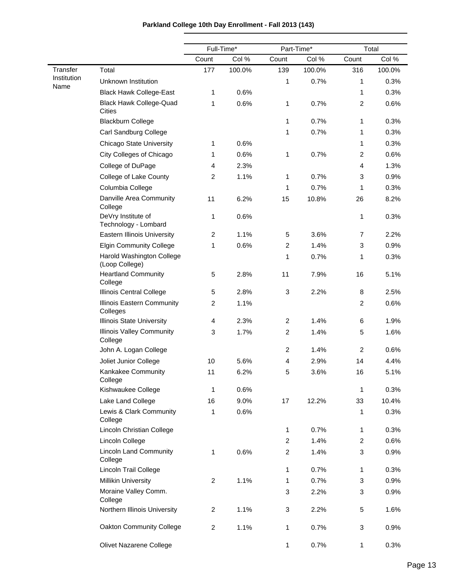$\overline{\phantom{0}}$ 

|                         |                                             |                | Full-Time* |                           | Part-Time* |                | Total  |
|-------------------------|---------------------------------------------|----------------|------------|---------------------------|------------|----------------|--------|
|                         |                                             | Count          | Col %      | Count                     | Col %      | Count          | Col %  |
| Transfer<br>Institution | Total                                       | 177            | 100.0%     | 139                       | 100.0%     | 316            | 100.0% |
| Name                    | Unknown Institution                         |                |            | 1                         | 0.7%       | 1              | 0.3%   |
|                         | <b>Black Hawk College-East</b>              | 1              | 0.6%       |                           |            | 1              | 0.3%   |
|                         | <b>Black Hawk College-Quad</b><br>Cities    | 1              | 0.6%       | 1                         | 0.7%       | $\overline{c}$ | 0.6%   |
|                         | <b>Blackburn College</b>                    |                |            | $\mathbf{1}$              | 0.7%       | 1              | 0.3%   |
|                         | Carl Sandburg College                       |                |            | 1                         | 0.7%       | 1              | 0.3%   |
|                         | <b>Chicago State University</b>             | 1              | 0.6%       |                           |            | 1              | 0.3%   |
|                         | City Colleges of Chicago                    | 1              | 0.6%       | 1                         | 0.7%       | $\overline{c}$ | 0.6%   |
|                         | College of DuPage                           | 4              | 2.3%       |                           |            | 4              | 1.3%   |
|                         | College of Lake County                      | $\overline{c}$ | 1.1%       | 1                         | 0.7%       | 3              | 0.9%   |
|                         | Columbia College                            |                |            | 1                         | 0.7%       | 1              | 0.3%   |
|                         | Danville Area Community<br>College          | 11             | 6.2%       | 15                        | 10.8%      | 26             | 8.2%   |
|                         | DeVry Institute of<br>Technology - Lombard  | 1              | 0.6%       |                           |            | 1              | 0.3%   |
|                         | <b>Eastern Illinois University</b>          | $\overline{c}$ | 1.1%       | 5                         | 3.6%       | 7              | 2.2%   |
|                         | <b>Elgin Community College</b>              | 1              | 0.6%       | $\overline{c}$            | 1.4%       | 3              | 0.9%   |
|                         | Harold Washington College<br>(Loop College) |                |            | 1                         | 0.7%       | 1              | 0.3%   |
|                         | <b>Heartland Community</b><br>College       | 5              | 2.8%       | 11                        | 7.9%       | 16             | 5.1%   |
|                         | Illinois Central College                    | 5              | 2.8%       | $\ensuremath{\mathsf{3}}$ | 2.2%       | 8              | 2.5%   |
|                         | Illinois Eastern Community<br>Colleges      | $\overline{c}$ | 1.1%       |                           |            | $\overline{c}$ | 0.6%   |
|                         | Illinois State University                   | 4              | 2.3%       | $\overline{c}$            | 1.4%       | 6              | 1.9%   |
|                         | <b>Illinois Valley Community</b><br>College | 3              | 1.7%       | $\overline{c}$            | 1.4%       | 5              | 1.6%   |
|                         | John A. Logan College                       |                |            | $\overline{c}$            | 1.4%       | $\overline{c}$ | 0.6%   |
|                         | Joliet Junior College                       | 10             | 5.6%       | $\overline{\mathbf{4}}$   | 2.9%       | 14             | 4.4%   |
|                         | Kankakee Community<br>College               | 11             | 6.2%       | 5                         | 3.6%       | 16             | 5.1%   |
|                         | Kishwaukee College                          | 1              | 0.6%       |                           |            | 1              | 0.3%   |
|                         | Lake Land College                           | 16             | 9.0%       | 17                        | 12.2%      | 33             | 10.4%  |
|                         | Lewis & Clark Community<br>College          | 1              | 0.6%       |                           |            | 1              | 0.3%   |
|                         | Lincoln Christian College                   |                |            | $\mathbf{1}$              | 0.7%       | 1              | 0.3%   |
|                         | Lincoln College                             |                |            | $\overline{c}$            | 1.4%       | $\overline{c}$ | 0.6%   |
|                         | <b>Lincoln Land Community</b><br>College    | 1              | 0.6%       | $\overline{c}$            | 1.4%       | 3              | 0.9%   |
|                         | Lincoln Trail College                       |                |            | 1                         | 0.7%       | 1              | 0.3%   |
|                         | <b>Millikin University</b>                  | $\overline{c}$ | 1.1%       | 1                         | 0.7%       | 3              | 0.9%   |
|                         | Moraine Valley Comm.<br>College             |                |            | 3                         | 2.2%       | 3              | 0.9%   |
|                         | Northern Illinois University                | $\overline{c}$ | 1.1%       | 3                         | 2.2%       | 5              | 1.6%   |
|                         | Oakton Community College                    | $\overline{c}$ | 1.1%       | 1                         | 0.7%       | 3              | 0.9%   |
|                         | Olivet Nazarene College                     |                |            | $\mathbf{1}$              | 0.7%       | 1              | 0.3%   |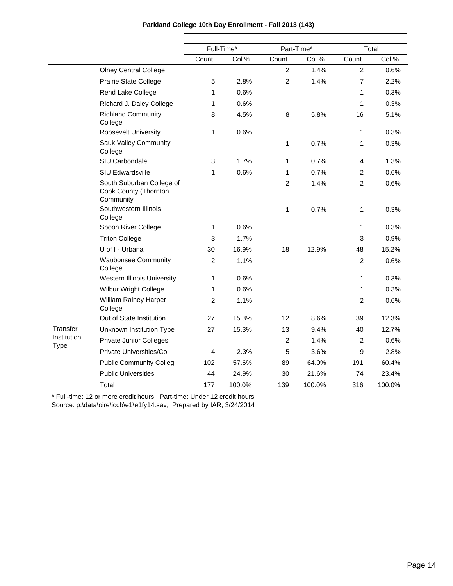|                            |                                                                 | Full-Time*<br>Part-Time* |        |                | Total  |                |        |
|----------------------------|-----------------------------------------------------------------|--------------------------|--------|----------------|--------|----------------|--------|
|                            |                                                                 | Count                    | Col %  | Count          | Col %  | Count          | Col %  |
|                            | <b>Olney Central College</b>                                    |                          |        | $\overline{2}$ | 1.4%   | $\sqrt{2}$     | 0.6%   |
|                            | Prairie State College                                           | 5                        | 2.8%   | $\overline{2}$ | 1.4%   | $\overline{7}$ | 2.2%   |
|                            | Rend Lake College                                               | 1                        | 0.6%   |                |        | 1              | 0.3%   |
|                            | Richard J. Daley College                                        | 1                        | 0.6%   |                |        | $\mathbf{1}$   | 0.3%   |
|                            | <b>Richland Community</b><br>College                            | 8                        | 4.5%   | 8              | 5.8%   | 16             | 5.1%   |
|                            | <b>Roosevelt University</b>                                     | 1                        | 0.6%   |                |        | 1              | 0.3%   |
|                            | <b>Sauk Valley Community</b><br>College                         |                          |        | 1              | 0.7%   | 1              | 0.3%   |
|                            | SIU Carbondale                                                  | 3                        | 1.7%   | 1              | 0.7%   | 4              | 1.3%   |
|                            | SIU Edwardsville                                                | 1                        | 0.6%   | 1              | 0.7%   | $\overline{c}$ | 0.6%   |
|                            | South Suburban College of<br>Cook County (Thornton<br>Community |                          |        | $\overline{2}$ | 1.4%   | $\overline{2}$ | 0.6%   |
|                            | Southwestern Illinois<br>College                                |                          |        | 1              | 0.7%   | 1              | 0.3%   |
|                            | Spoon River College                                             | 1                        | 0.6%   |                |        | $\mathbf{1}$   | 0.3%   |
|                            | <b>Triton College</b>                                           | 3                        | 1.7%   |                |        | $\mathbf{3}$   | 0.9%   |
|                            | U of I - Urbana                                                 | 30                       | 16.9%  | 18             | 12.9%  | 48             | 15.2%  |
|                            | <b>Waubonsee Community</b><br>College                           | $\overline{2}$           | 1.1%   |                |        | $\overline{2}$ | 0.6%   |
|                            | <b>Western Illinois University</b>                              | 1                        | 0.6%   |                |        | $\mathbf{1}$   | 0.3%   |
|                            | Wilbur Wright College                                           | 1                        | 0.6%   |                |        | 1              | 0.3%   |
|                            | William Rainey Harper<br>College                                | 2                        | 1.1%   |                |        | $\overline{2}$ | 0.6%   |
|                            | Out of State Institution                                        | 27                       | 15.3%  | 12             | 8.6%   | 39             | 12.3%  |
| Transfer                   | Unknown Institution Type                                        | 27                       | 15.3%  | 13             | 9.4%   | 40             | 12.7%  |
| Institution<br><b>Type</b> | <b>Private Junior Colleges</b>                                  |                          |        | $\overline{2}$ | 1.4%   | $\overline{2}$ | 0.6%   |
|                            | Private Universities/Co                                         | 4                        | 2.3%   | 5              | 3.6%   | 9              | 2.8%   |
|                            | <b>Public Community Colleg</b>                                  | 102                      | 57.6%  | 89             | 64.0%  | 191            | 60.4%  |
|                            | <b>Public Universities</b>                                      | 44                       | 24.9%  | 30             | 21.6%  | 74             | 23.4%  |
|                            | Total                                                           | 177                      | 100.0% | 139            | 100.0% | 316            | 100.0% |

\* Full-time: 12 or more credit hours; Part-time: Under 12 credit hours Source: p:\data\oire\iccb\e1\e1fy14.sav; Prepared by IAR; 3/24/2014